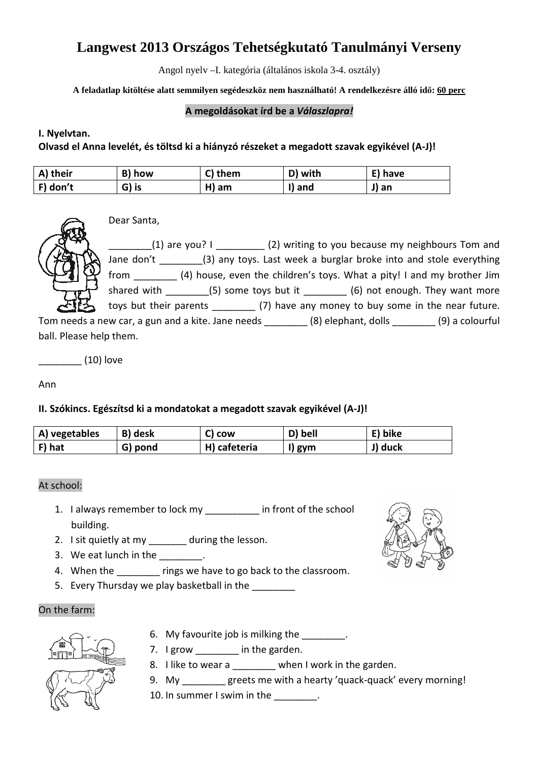# **Langwest 2013 Országos Tehetségkutató Tanulmányi Verseny**

Angol nyelv –I. kategória (általános iskola 3-4. osztály)

**A feladatlap kitöltése alatt semmilyen segédeszköz nem használható! A rendelkezésre álló idő: 60 perc** 

#### **A megoldásokat írd be a** *Válaszlapra!*

#### **I. Nyelvtan.**

**Olvasd el Anna levelét, és töltsd ki a hiányzó részeket a megadott szavak egyikével (A-J)!** 

| A) their    | B) how | C)<br>them | D) with | E) have |
|-------------|--------|------------|---------|---------|
| $ F $ don't | G) is  | H)<br>am   | ) and   | J) an   |



Dear Santa,

(1) are you? I  $(2)$  writing to you because my neighbours Tom and Jane don't \_\_\_\_\_\_\_\_\_(3) any toys. Last week a burglar broke into and stole everything from \_\_\_\_\_\_\_\_ (4) house, even the children's toys. What a pity! I and my brother Jim shared with  $\qquad$  (5) some toys but it  $\qquad$  (6) not enough. They want more toys but their parents (7) have any money to buy some in the near future.

Tom needs a new car, a gun and a kite. Jane needs \_\_\_\_\_\_\_\_ (8) elephant, dolls \_\_\_\_\_\_\_\_ (9) a colourful ball. Please help them.

\_\_\_\_\_\_\_\_ (10) love

Ann

### **II. Szókincs. Egészítsd ki a mondatokat a megadott szavak egyikével (A-J)!**

| A) vegetables | B) desk | <b>COW</b><br>. L.I | D) bell | bike |
|---------------|---------|---------------------|---------|------|
| F) hat        | G) pond | H) cafeteria        | I) gym  | duck |

#### At school:

- 1. I always remember to lock my \_\_\_\_\_\_\_ in front of the school building.
- 2. I sit quietly at my during the lesson.
- 3. We eat lunch in the  $\qquad \qquad$ .
- 4. When the **rings we have to go back to the classroom.**
- 5. Every Thursday we play basketball in the

#### On the farm:

- 6. My favourite job is milking the \_\_\_\_\_\_\_.
- 7. I grow in the garden.
- 8. I like to wear a \_\_\_\_\_\_\_ when I work in the garden.
- 9. My greets me with a hearty 'quack-quack' every morning!
- 10. In summer I swim in the \_\_\_\_\_\_\_\_.